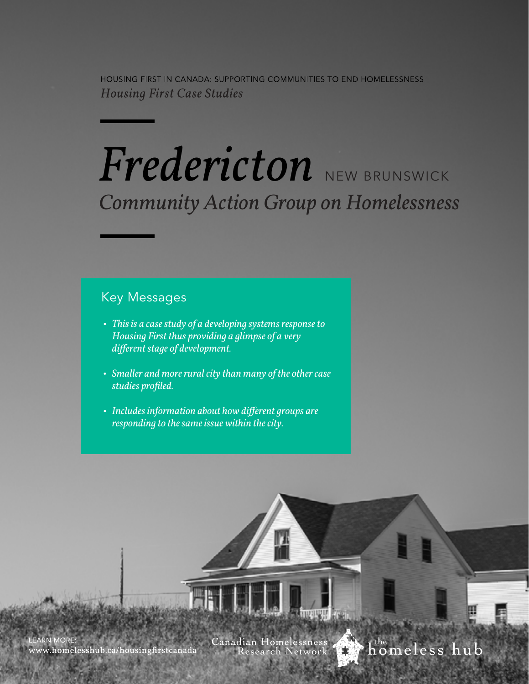HOUSING FIRST IN CANADA: SUPPORTING COMMUNITIES TO END HOMELESSNESS **Housing First Case Studies** 

# *Fredericton* NEW BRUNSWICK *Community Action Group on Homelessness*

## Key Messages

- *This is a case study of a developing systems response to Housing First thus providing a glimpse of a very different stage of development.*
- *Smaller and more rural city than many of the other case studies profiled.*
- *Includes information about how different groups are responding to the same issue within the city.*

**EARN MORE** www.homelesshub.ca/housingfirstcanada Canadian Homelessness Research

h<sup>the</sup> meless hub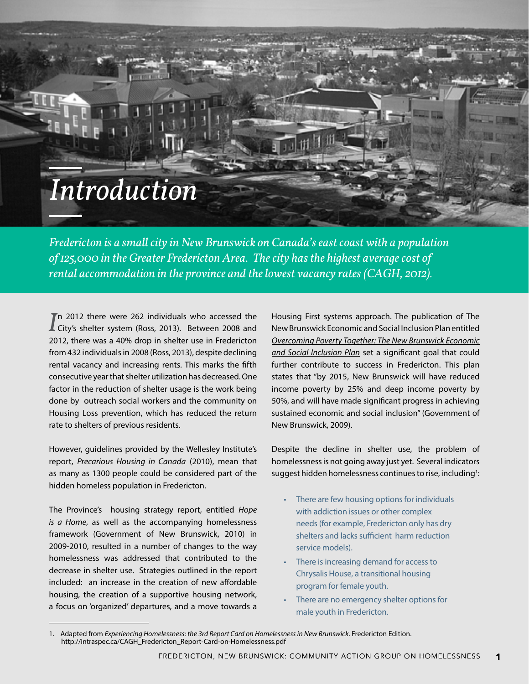## *Introduction*

*Fredericton is a small city in New Brunswick on Canada's east coast with a population of 125,000 in the Greater Fredericton Area. The city has the highest average cost of rental accommodation in the province and the lowest vacancy rates (CAGH, 2012).* 

In 2012 there were 262 individuals who accessed the<br>
City's shelter system (Ross, 2013). Between 2008 and Th 2012 there were 262 individuals who accessed the 2012, there was a 40% drop in shelter use in Fredericton from 432 individuals in 2008 (Ross, 2013), despite declining rental vacancy and increasing rents. This marks the fifth consecutive year that shelter utilization has decreased. One factor in the reduction of shelter usage is the work being done by outreach social workers and the community on Housing Loss prevention, which has reduced the return rate to shelters of previous residents.

However, guidelines provided by the Wellesley Institute's report, *Precarious Housing in Canada* (2010), mean that as many as 1300 people could be considered part of the hidden homeless population in Fredericton.

The Province's housing strategy report, entitled *Hope is a Home*, as well as the accompanying homelessness framework (Government of New Brunswick, 2010) in 2009-2010, resulted in a number of changes to the way homelessness was addressed that contributed to the decrease in shelter use. Strategies outlined in the report included: an increase in the creation of new affordable housing, the creation of a supportive housing network, a focus on 'organized' departures, and a move towards a

Housing First systems approach. The publication of The New Brunswick Economic and Social Inclusion Plan entitled *[Overcoming Poverty Together: The New Brunswick Economic](http://www2.gnb.ca/content/dam/gnb/Departments/esic/pdf/Plan-e.pdf) [and Social Inclusion Plan](http://www2.gnb.ca/content/dam/gnb/Departments/esic/pdf/Plan-e.pdf)* set a significant goal that could further contribute to success in Fredericton. This plan states that "by 2015, New Brunswick will have reduced income poverty by 25% and deep income poverty by 50%, and will have made significant progress in achieving sustained economic and social inclusion" (Government of New Brunswick, 2009).

Despite the decline in shelter use, the problem of homelessness is not going away just yet. Several indicators suggest hidden homelessness continues to rise, including<sup>1</sup>:

- There are few housing options for individuals with addiction issues or other complex needs (for example, Fredericton only has dry shelters and lacks sufficient harm reduction service models).
- There is increasing demand for access to Chrysalis House, a transitional housing program for female youth.
- There are no emergency shelter options for male youth in Fredericton.

<sup>1.</sup> Adapted from *Experiencing Homelessness: the 3rd Report Card on Homelessness in New Brunswick*. Fredericton Edition. http://intraspec.ca/CAGH\_Fredericton\_Report-Card-on-Homelessness.pdf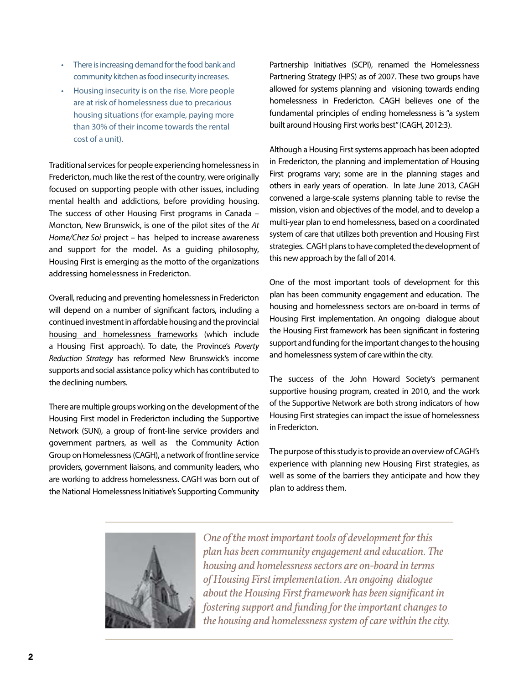- There is increasing demand for the food bank and community kitchen as food insecurity increases.
- Housing insecurity is on the rise. More people are at risk of homelessness due to precarious housing situations (for example, paying more than 30% of their income towards the rental cost of a unit).

Traditional services for people experiencing homelessness in Fredericton, much like the rest of the country, were originally focused on supporting people with other issues, including mental health and addictions, before providing housing. The success of other Housing First programs in Canada – Moncton, New Brunswick, is one of the pilot sites of the *At Home/Chez Soi* project – has helped to increase awareness and support for the model. As a guiding philosophy, Housing First is emerging as the motto of the organizations addressing homelessness in Fredericton.

Overall, reducing and preventing homelessness in Fredericton will depend on a number of significant factors, including a continued investment in affordable housing and the provincial [housing and homelessness frameworks](http://www2.gnb.ca/content/dam/gnb/Departments/sd-ds/pdf/Housing/housingstrategy-e.pdf) (which include a Housing First approach). To date, the Province's *Poverty Reduction Strategy* has reformed New Brunswick's income supports and social assistance policy which has contributed to the declining numbers.

There are multiple groups working on the development of the Housing First model in Fredericton including the Supportive Network (SUN), a group of front-line service providers and government partners, as well as the Community Action Group on Homelessness (CAGH), a network of frontline service providers, government liaisons, and community leaders, who are working to address homelessness. CAGH was born out of the National Homelessness Initiative's Supporting Community

Partnership Initiatives (SCPI), renamed the Homelessness Partnering Strategy (HPS) as of 2007. These two groups have allowed for systems planning and visioning towards ending homelessness in Fredericton. CAGH believes one of the fundamental principles of ending homelessness is "a system built around Housing First works best" (CAGH, 2012:3).

Although a Housing First systems approach has been adopted in Fredericton, the planning and implementation of Housing First programs vary; some are in the planning stages and others in early years of operation. In late June 2013, CAGH convened a large-scale systems planning table to revise the mission, vision and objectives of the model, and to develop a multi-year plan to end homelessness, based on a coordinated system of care that utilizes both prevention and Housing First strategies. CAGH plans to have completed the development of this new approach by the fall of 2014.

One of the most important tools of development for this plan has been community engagement and education. The housing and homelessness sectors are on-board in terms of Housing First implementation. An ongoing dialogue about the Housing First framework has been significant in fostering support and funding for the important changes to the housing and homelessness system of care within the city.

The success of the John Howard Society's permanent supportive housing program, created in 2010, and the work of the Supportive Network are both strong indicators of how Housing First strategies can impact the issue of homelessness in Fredericton.

The purpose of this study is to provide an overview of CAGH's experience with planning new Housing First strategies, as well as some of the barriers they anticipate and how they plan to address them.



*One of the most important tools of development for this plan has been community engagement and education. The housing and homelessness sectors are on-board in terms of Housing First implementation. An ongoing dialogue about the Housing First framework has been significant in fostering support and funding for the important changes to the housing and homelessness system of care within the city.*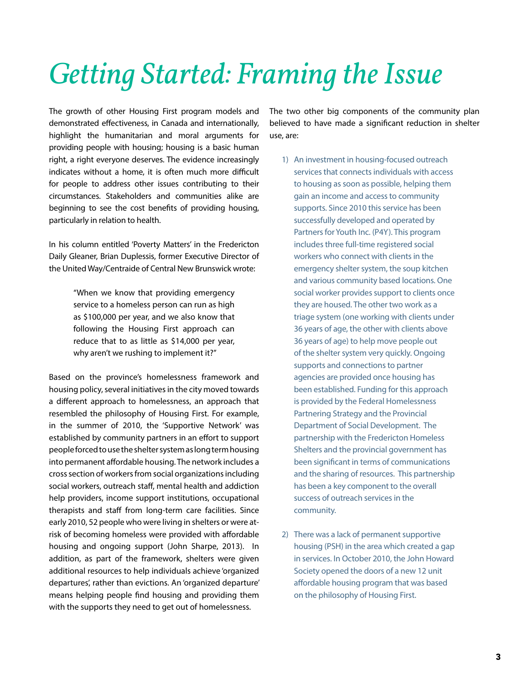# *Getting Started: Framing the Issue*

The growth of other Housing First program models and demonstrated effectiveness, in Canada and internationally, highlight the humanitarian and moral arguments for providing people with housing; housing is a basic human right, a right everyone deserves. The evidence increasingly indicates without a home, it is often much more difficult for people to address other issues contributing to their circumstances. Stakeholders and communities alike are beginning to see the cost benefits of providing housing, particularly in relation to health.

In his column entitled 'Poverty Matters' in the Fredericton Daily Gleaner, Brian Duplessis, former Executive Director of the United Way/Centraide of Central New Brunswick wrote:

> "When we know that providing emergency service to a homeless person can run as high as \$100,000 per year, and we also know that following the Housing First approach can reduce that to as little as \$14,000 per year, why aren't we rushing to implement it?"

Based on the province's homelessness framework and housing policy, several initiatives in the city moved towards a different approach to homelessness, an approach that resembled the philosophy of Housing First. For example, in the summer of 2010, the 'Supportive Network' was established by community partners in an effort to support people forced to use the shelter system as long term housing into permanent affordable housing. The network includes a cross section of workers from social organizations including social workers, outreach staff, mental health and addiction help providers, income support institutions, occupational therapists and staff from long-term care facilities. Since early 2010, 52 people who were living in shelters or were atrisk of becoming homeless were provided with affordable housing and ongoing support (John Sharpe, 2013). In addition, as part of the framework, shelters were given additional resources to help individuals achieve 'organized departures', rather than evictions. An 'organized departure' means helping people find housing and providing them with the supports they need to get out of homelessness.

The two other big components of the community plan believed to have made a significant reduction in shelter use, are:

- 1) An investment in housing-focused outreach services that connects individuals with access to housing as soon as possible, helping them gain an income and access to community supports. Since 2010 this service has been successfully developed and operated by Partners for Youth Inc. (P4Y). This program includes three full-time registered social workers who connect with clients in the emergency shelter system, the soup kitchen and various community based locations. One social worker provides support to clients once they are housed. The other two work as a triage system (one working with clients under 36 years of age, the other with clients above 36 years of age) to help move people out of the shelter system very quickly. Ongoing supports and connections to partner agencies are provided once housing has been established. Funding for this approach is provided by the Federal Homelessness Partnering Strategy and the Provincial Department of Social Development. The partnership with the Fredericton Homeless Shelters and the provincial government has been significant in terms of communications and the sharing of resources. This partnership has been a key component to the overall success of outreach services in the community.
- 2) There was a lack of permanent supportive housing (PSH) in the area which created a gap in services. In October 2010, the John Howard Society opened the doors of a new 12 unit affordable housing program that was based on the philosophy of Housing First.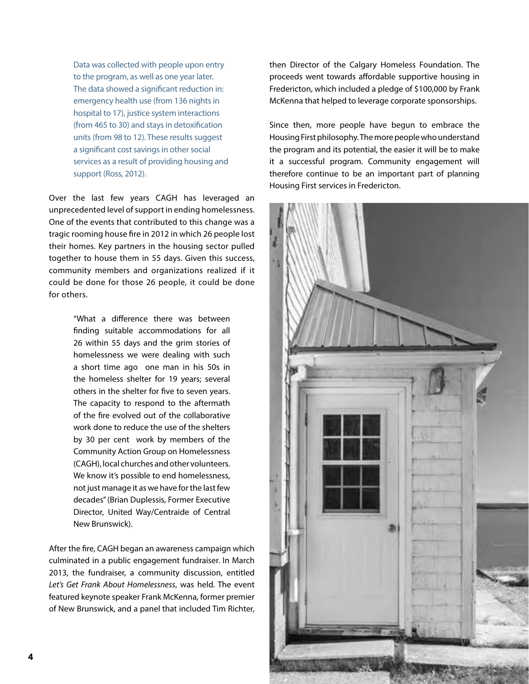Data was collected with people upon entry to the program, as well as one year later. The data showed a significant reduction in: emergency health use (from 136 nights in hospital to 17), justice system interactions (from 465 to 30) and stays in detoxification units (from 98 to 12). These results suggest a significant cost savings in other social services as a result of providing housing and support (Ross, 2012).

Over the last few years CAGH has leveraged an unprecedented level of support in ending homelessness. One of the events that contributed to this change was a tragic rooming house fire in 2012 in which 26 people lost their homes. Key partners in the housing sector pulled together to house them in 55 days. Given this success, community members and organizations realized if it could be done for those 26 people, it could be done for others.

> "What a difference there was between finding suitable accommodations for all 26 within 55 days and the grim stories of homelessness we were dealing with such a short time ago one man in his 50s in the homeless shelter for 19 years; several others in the shelter for five to seven years. The capacity to respond to the aftermath of the fire evolved out of the collaborative work done to reduce the use of the shelters by 30 per cent work by members of the Community Action Group on Homelessness (CAGH), local churches and other volunteers. We know it's possible to end homelessness, not just manage it as we have for the last few decades" (Brian Duplessis, Former Executive Director, United Way/Centraide of Central New Brunswick).

After the fire, CAGH began an awareness campaign which culminated in a public engagement fundraiser. In March 2013, the fundraiser, a community discussion, entitled *Let's Get Frank About Homelessness*, was held. The event featured keynote speaker Frank McKenna, former premier of New Brunswick, and a panel that included Tim Richter, then Director of the Calgary Homeless Foundation. The proceeds went towards affordable supportive housing in Fredericton, which included a pledge of \$100,000 by Frank McKenna that helped to leverage corporate sponsorships.

Since then, more people have begun to embrace the Housing First philosophy. The more people who understand the program and its potential, the easier it will be to make it a successful program. Community engagement will therefore continue to be an important part of planning Housing First services in Fredericton.

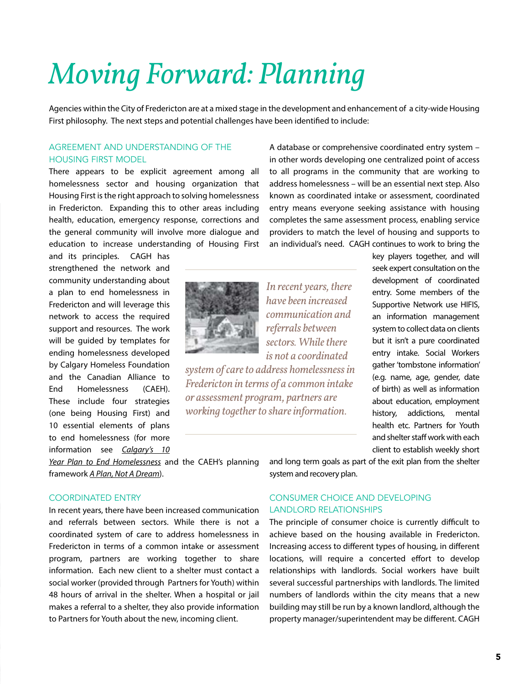# *Moving Forward: Planning*

Agencies within the City of Fredericton are at a mixed stage in the development and enhancement of a city-wide Housing First philosophy. The next steps and potential challenges have been identified to include:

#### agreement and understanding of the housing first model

There appears to be explicit agreement among all homelessness sector and housing organization that Housing First is the right approach to solving homelessness in Fredericton. Expanding this to other areas including health, education, emergency response, corrections and the general community will involve more dialogue and education to increase understanding of Housing First

and its principles. CAGH has strengthened the network and community understanding about a plan to end homelessness in Fredericton and will leverage this network to access the required support and resources. The work will be guided by templates for ending homelessness developed by Calgary Homeless Foundation and the Canadian Alliance to End Homelessness (CAEH). These include four strategies (one being Housing First) and 10 essential elements of plans to end homelessness (for more information see *[Calgary's 10](http://calgaryhomeless.com/10-year-plan/)* 



*In recent years, there have been increased communication and referrals between sectors. While there is not a coordinated* 

*system of care to address homelessness in Fredericton in terms of a common intake or assessment program, partners are working together to share information.* 

A database or comprehensive coordinated entry system – in other words developing one centralized point of access to all programs in the community that are working to address homelessness – will be an essential next step. Also known as coordinated intake or assessment, coordinated entry means everyone seeking assistance with housing completes the same assessment process, enabling service providers to match the level of housing and supports to an individual's need. CAGH continues to work to bring the

> key players together, and will seek expert consultation on the development of coordinated entry. Some members of the Supportive Network use HIFIS, an information management system to collect data on clients but it isn't a pure coordinated entry intake. Social Workers gather 'tombstone information' (e.g. name, age, gender, date of birth) as well as information about education, employment history, addictions, mental health etc. Partners for Youth and shelter staff work with each client to establish weekly short

*[Year Plan to End Homelessness](http://calgaryhomeless.com/10-year-plan/)* and the CAEH's planning framework *[A Plan, Not A Dream](http://www.caeh.ca/wp-content/uploads/2012/04/A-Plan-Not-a-Dream_Eng-FINAL-TR.pdf)*).

#### COORDINATED ENTRY

In recent years, there have been increased communication and referrals between sectors. While there is not a coordinated system of care to address homelessness in Fredericton in terms of a common intake or assessment program, partners are working together to share information. Each new client to a shelter must contact a social worker (provided through Partners for Youth) within 48 hours of arrival in the shelter. When a hospital or jail makes a referral to a shelter, they also provide information to Partners for Youth about the new, incoming client.

and long term goals as part of the exit plan from the shelter system and recovery plan.

### Consumer ChoiCe and developing landlord relationships

The principle of consumer choice is currently difficult to achieve based on the housing available in Fredericton. Increasing access to different types of housing, in different locations, will require a concerted effort to develop relationships with landlords. Social workers have built several successful partnerships with landlords. The limited numbers of landlords within the city means that a new building may still be run by a known landlord, although the property manager/superintendent may be different. CAGH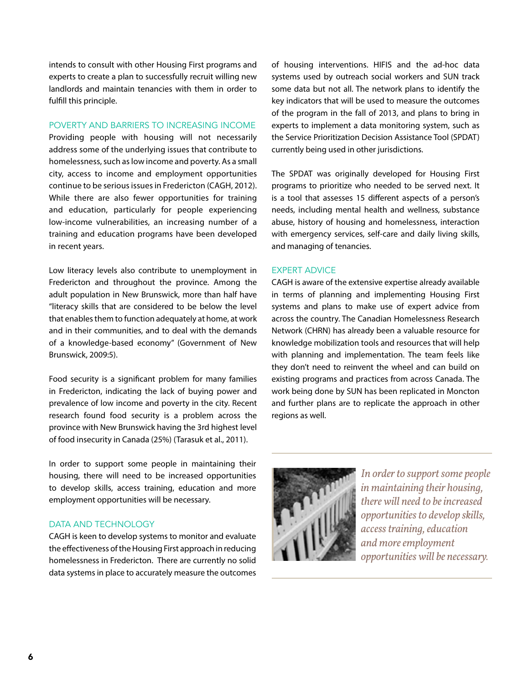intends to consult with other Housing First programs and experts to create a plan to successfully recruit willing new landlords and maintain tenancies with them in order to fulfill this principle.

#### POVERTY AND BARRIERS TO INCREASING INCOME

Providing people with housing will not necessarily address some of the underlying issues that contribute to homelessness, such as low income and poverty. As a small city, access to income and employment opportunities continue to be serious issues in Fredericton (CAGH, 2012). While there are also fewer opportunities for training and education, particularly for people experiencing low-income vulnerabilities, an increasing number of a training and education programs have been developed in recent years.

Low literacy levels also contribute to unemployment in Fredericton and throughout the province. Among the adult population in New Brunswick, more than half have "literacy skills that are considered to be below the level that enables them to function adequately at home, at work and in their communities, and to deal with the demands of a knowledge-based economy" (Government of New Brunswick, 2009:5).

Food security is a significant problem for many families in Fredericton, indicating the lack of buying power and prevalence of low income and poverty in the city. Recent research found food security is a problem across the province with New Brunswick having the 3rd highest level of food insecurity in Canada (25%) (Tarasuk et al., 2011).

In order to support some people in maintaining their housing, there will need to be increased opportunities to develop skills, access training, education and more employment opportunities will be necessary.

#### **DATA AND TECHNOLOGY**

CAGH is keen to develop systems to monitor and evaluate the effectiveness of the Housing First approach in reducing homelessness in Fredericton. There are currently no solid data systems in place to accurately measure the outcomes

of housing interventions. HIFIS and the ad-hoc data systems used by outreach social workers and SUN track some data but not all. The network plans to identify the key indicators that will be used to measure the outcomes of the program in the fall of 2013, and plans to bring in experts to implement a data monitoring system, such as the Service Prioritization Decision Assistance Tool (SPDAT) currently being used in other jurisdictions.

The SPDAT was originally developed for Housing First programs to prioritize who needed to be served next. It is a tool that assesses 15 different aspects of a person's needs, including mental health and wellness, substance abuse, history of housing and homelessness, interaction with emergency services, self-care and daily living skills, and managing of tenancies.

#### **EXPERT ADVICE**

CAGH is aware of the extensive expertise already available in terms of planning and implementing Housing First systems and plans to make use of expert advice from across the country. The Canadian Homelessness Research Network (CHRN) has already been a valuable resource for knowledge mobilization tools and resources that will help with planning and implementation. The team feels like they don't need to reinvent the wheel and can build on existing programs and practices from across Canada. The work being done by SUN has been replicated in Moncton and further plans are to replicate the approach in other regions as well.



*In order to support some people in maintaining their housing, there will need to be increased opportunities to develop skills, access training, education and more employment opportunities will be necessary.*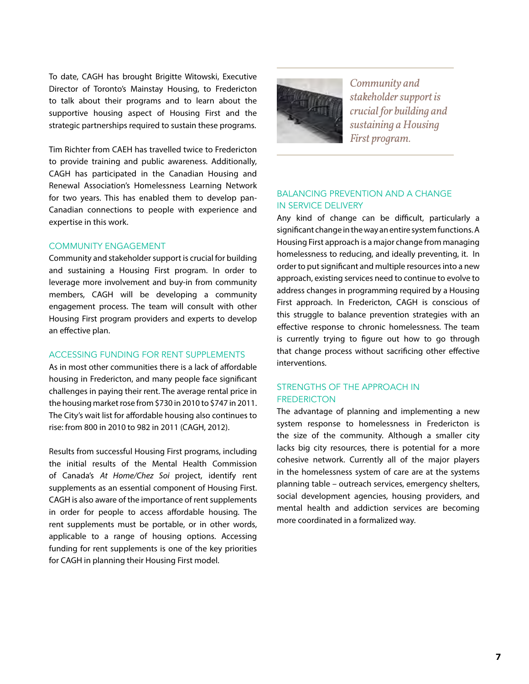To date, CAGH has brought Brigitte Witowski, Executive Director of Toronto's Mainstay Housing, to Fredericton to talk about their programs and to learn about the supportive housing aspect of Housing First and the strategic partnerships required to sustain these programs.

Tim Richter from CAEH has travelled twice to Fredericton to provide training and public awareness. Additionally, CAGH has participated in the Canadian Housing and Renewal Association's Homelessness Learning Network for two years. This has enabled them to develop pan-Canadian connections to people with experience and expertise in this work.

#### Community engagement

Community and stakeholder support is crucial for building and sustaining a Housing First program. In order to leverage more involvement and buy-in from community members, CAGH will be developing a community engagement process. The team will consult with other Housing First program providers and experts to develop an effective plan.

#### ACCESSING FUNDING FOR RENT SUPPLEMENTS

As in most other communities there is a lack of affordable housing in Fredericton, and many people face significant challenges in paying their rent. The average rental price in the housing market rose from \$730 in 2010 to \$747 in 2011. The City's wait list for affordable housing also continues to rise: from 800 in 2010 to 982 in 2011 (CAGH, 2012).

Results from successful Housing First programs, including the initial results of the Mental Health Commission of Canada's *At Home/Chez Soi* project, identify rent supplements as an essential component of Housing First. CAGH is also aware of the importance of rent supplements in order for people to access affordable housing. The rent supplements must be portable, or in other words, applicable to a range of housing options. Accessing funding for rent supplements is one of the key priorities for CAGH in planning their Housing First model.



*Community and stakeholder support is crucial for building and sustaining a Housing First program.*

#### BalanCing prevention and a Change in serviCe delivery

Any kind of change can be difficult, particularly a significant change in the way an entire system functions. A Housing First approach is a major change from managing homelessness to reducing, and ideally preventing, it. In order to put significant and multiple resources into a new approach, existing services need to continue to evolve to address changes in programming required by a Housing First approach. In Fredericton, CAGH is conscious of this struggle to balance prevention strategies with an effective response to chronic homelessness. The team is currently trying to figure out how to go through that change process without sacrificing other effective interventions.

### STRENGTHS OF THE APPROACH IN **FREDERICTON**

The advantage of planning and implementing a new system response to homelessness in Fredericton is the size of the community. Although a smaller city lacks big city resources, there is potential for a more cohesive network. Currently all of the major players in the homelessness system of care are at the systems planning table – outreach services, emergency shelters, social development agencies, housing providers, and mental health and addiction services are becoming more coordinated in a formalized way.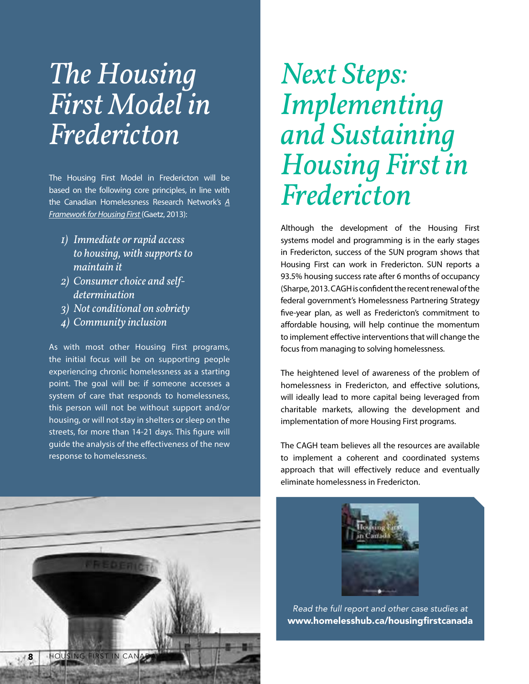## *The Housing First Model in Fredericton*

The Housing First Model in Fredericton will be based on the following core principles, in line with the Canadian Homelessness Research Network's *[A](http://www.homelesshub.ca/resource/2-framework-housing-first-0) [Framework for Housing First](http://www.homelesshub.ca/resource/2-framework-housing-first-0)* (Gaetz, 2013):

- *1) Immediate or rapid access to housing, with supports to maintain it*
- *2) Consumer choice and selfdetermination*
- *3) Not conditional on sobriety*
- *4) Community inclusion*

As with most other Housing First programs, the initial focus will be on supporting people experiencing chronic homelessness as a starting point. The goal will be: if someone accesses a system of care that responds to homelessness, this person will not be without support and/or housing, or will not stay in shelters or sleep on the streets, for more than 14-21 days. This figure will guide the analysis of the effectiveness of the new response to homelessness.



# *Next Steps: Implementing and Sustaining Housing First in Fredericton*

Although the development of the Housing First systems model and programming is in the early stages in Fredericton, success of the SUN program shows that Housing First can work in Fredericton. SUN reports a 93.5% housing success rate after 6 months of occupancy (Sharpe, 2013. CAGH is confident the recent renewal of the federal government's Homelessness Partnering Strategy five-year plan, as well as Fredericton's commitment to affordable housing, will help continue the momentum to implement effective interventions that will change the focus from managing to solving homelessness.

The heightened level of awareness of the problem of homelessness in Fredericton, and effective solutions, will ideally lead to more capital being leveraged from charitable markets, allowing the development and implementation of more Housing First programs.

The CAGH team believes all the resources are available to implement a coherent and coordinated systems approach that will effectively reduce and eventually eliminate homelessness in Fredericton.



*Read the full report and other case studies at* <www.homelesshub.ca/housingfirstcanada>